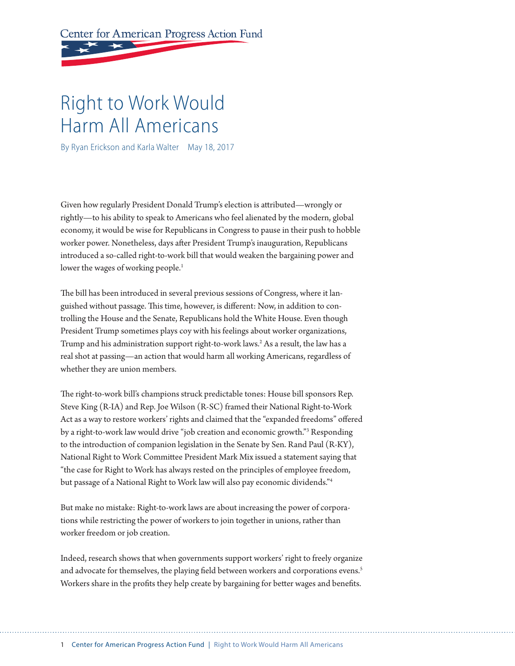Center for American Progress Action Fund

# Right to Work Would Harm All Americans

By Ryan Erickson and Karla Walter May 18, 2017

Given how regularly President Donald Trump's election is atributed—wrongly or rightly—to his ability to speak to Americans who feel alienated by the modern, global economy, it would be wise for Republicans in Congress to pause in their push to hobble worker power. Nonetheless, days afer President Trump's inauguration, Republicans introduced a so-called right-to-work bill that would weaken the bargaining power and lower the wages of working people.<sup>1</sup>

The bill has been introduced in several previous sessions of Congress, where it languished without passage. This time, however, is different: Now, in addition to controlling the House and the Senate, Republicans hold the White House. Even though President Trump sometimes plays coy with his feelings about worker organizations, Trump and his administration support right-to-work laws.2 As a result, the law has a real shot at passing—an action that would harm all working Americans, regardless of whether they are union members.

The right-to-work bill's champions struck predictable tones: House bill sponsors Rep. Steve King (R-IA) and Rep. Joe Wilson (R-SC) framed their National Right-to-Work Act as a way to restore workers' rights and claimed that the "expanded freedoms" offered by a right-to-work law would drive "job creation and economic growth."3 Responding to the introduction of companion legislation in the Senate by Sen. Rand Paul (R-KY), National Right to Work Commitee President Mark Mix issued a statement saying that "the case for Right to Work has always rested on the principles of employee freedom, but passage of a National Right to Work law will also pay economic dividends."4

But make no mistake: Right-to-work laws are about increasing the power of corporations while restricting the power of workers to join together in unions, rather than worker freedom or job creation.

Indeed, research shows that when governments support workers' right to freely organize and advocate for themselves, the playing field between workers and corporations evens.<sup>5</sup> Workers share in the profits they help create by bargaining for better wages and benefits.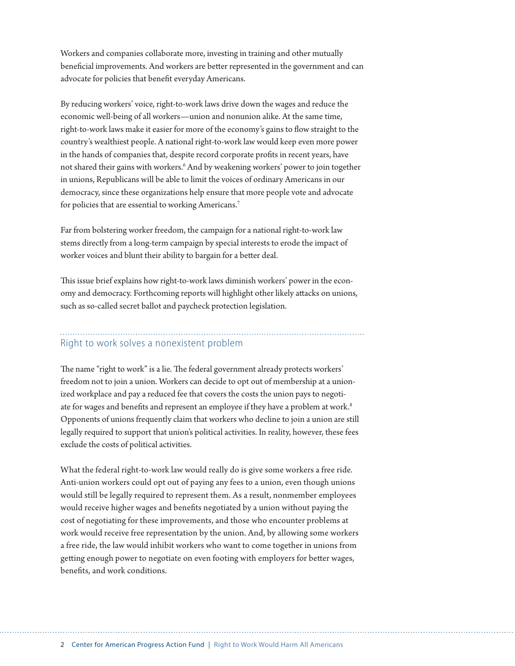Workers and companies collaborate more, investing in training and other mutually benefcial improvements. And workers are beter represented in the government and can advocate for policies that beneft everyday Americans.

By reducing workers' voice, right-to-work laws drive down the wages and reduce the economic well-being of all workers—union and nonunion alike. At the same time, right-to-work laws make it easier for more of the economy's gains to fow straight to the country's wealthiest people. A national right-to-work law would keep even more power in the hands of companies that, despite record corporate profts in recent years, have not shared their gains with workers.<sup>6</sup> And by weakening workers' power to join together in unions, Republicans will be able to limit the voices of ordinary Americans in our democracy, since these organizations help ensure that more people vote and advocate for policies that are essential to working Americans.<sup>7</sup>

Far from bolstering worker freedom, the campaign for a national right-to-work law stems directly from a long-term campaign by special interests to erode the impact of worker voices and blunt their ability to bargain for a beter deal.

This issue brief explains how right-to-work laws diminish workers' power in the economy and democracy. Forthcoming reports will highlight other likely atacks on unions, such as so-called secret ballot and paycheck protection legislation.

## Right to work solves a nonexistent problem

The name "right to work" is a lie. The federal government already protects workers' freedom not to join a union. Workers can decide to opt out of membership at a unionized workplace and pay a reduced fee that covers the costs the union pays to negotiate for wages and benefits and represent an employee if they have a problem at work.<sup>8</sup> Opponents of unions frequently claim that workers who decline to join a union are still legally required to support that union's political activities. In reality, however, these fees exclude the costs of political activities.

What the federal right-to-work law would really do is give some workers a free ride. Anti-union workers could opt out of paying any fees to a union, even though unions would still be legally required to represent them. As a result, nonmember employees would receive higher wages and benefts negotiated by a union without paying the cost of negotiating for these improvements, and those who encounter problems at work would receive free representation by the union. And, by allowing some workers a free ride, the law would inhibit workers who want to come together in unions from geting enough power to negotiate on even footing with employers for beter wages, benefts, and work conditions.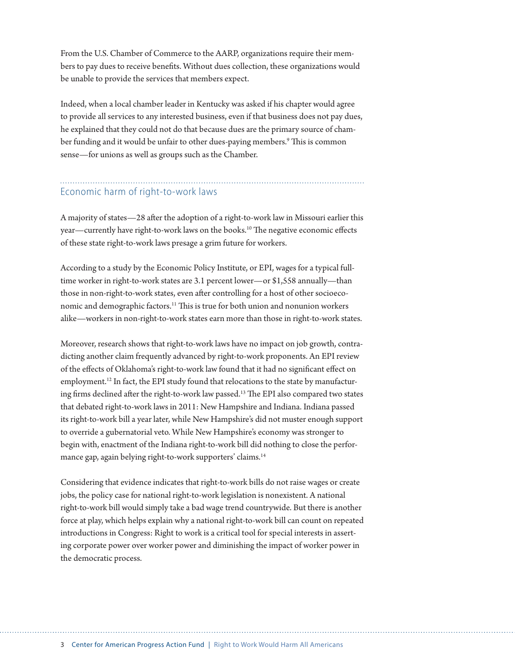From the U.S. Chamber of Commerce to the AARP, organizations require their members to pay dues to receive benefts. Without dues collection, these organizations would be unable to provide the services that members expect.

Indeed, when a local chamber leader in Kentucky was asked if his chapter would agree to provide all services to any interested business, even if that business does not pay dues, he explained that they could not do that because dues are the primary source of chamber funding and it would be unfair to other dues-paying members.<sup>9</sup> This is common sense—for unions as well as groups such as the Chamber.

## Economic harm of right-to-work laws

A majority of states—28 afer the adoption of a right-to-work law in Missouri earlier this year—currently have right-to-work laws on the books.<sup>10</sup> The negative economic effects of these state right-to-work laws presage a grim future for workers.

According to a study by the Economic Policy Institute, or EPI, wages for a typical fulltime worker in right-to-work states are 3.1 percent lower—or \$1,558 annually—than those in non-right-to-work states, even after controlling for a host of other socioeconomic and demographic factors.<sup>11</sup> This is true for both union and nonunion workers alike—workers in non-right-to-work states earn more than those in right-to-work states.

Moreover, research shows that right-to-work laws have no impact on job growth, contradicting another claim frequently advanced by right-to-work proponents. An EPI review of the efects of Oklahoma's right-to-work law found that it had no signifcant efect on employment.<sup>12</sup> In fact, the EPI study found that relocations to the state by manufacturing firms declined after the right-to-work law passed.<sup>13</sup> The EPI also compared two states that debated right-to-work laws in 2011: New Hampshire and Indiana. Indiana passed its right-to-work bill a year later, while New Hampshire's did not muster enough support to override a gubernatorial veto. While New Hampshire's economy was stronger to begin with, enactment of the Indiana right-to-work bill did nothing to close the performance gap, again belying right-to-work supporters' claims.<sup>14</sup>

Considering that evidence indicates that right-to-work bills do not raise wages or create jobs, the policy case for national right-to-work legislation is nonexistent. A national right-to-work bill would simply take a bad wage trend countrywide. But there is another force at play, which helps explain why a national right-to-work bill can count on repeated introductions in Congress: Right to work is a critical tool for special interests in asserting corporate power over worker power and diminishing the impact of worker power in the democratic process.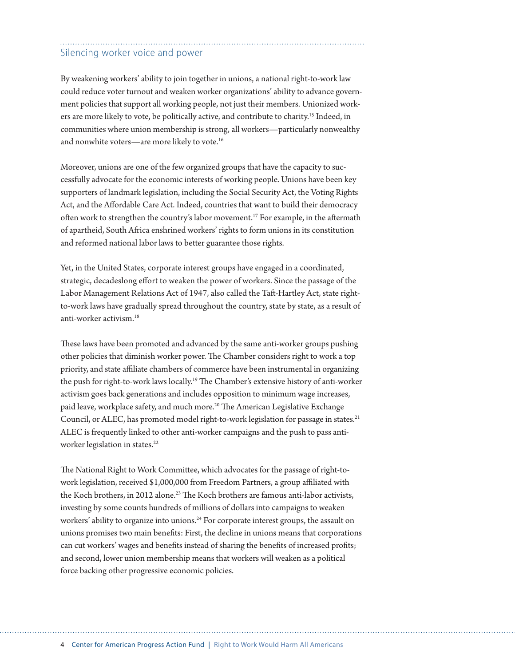## Silencing worker voice and power

By weakening workers' ability to join together in unions, a national right-to-work law could reduce voter turnout and weaken worker organizations' ability to advance government policies that support all working people, not just their members. Unionized workers are more likely to vote, be politically active, and contribute to charity.<sup>15</sup> Indeed, in communities where union membership is strong, all workers—particularly nonwealthy and nonwhite voters—are more likely to vote.<sup>16</sup>

Moreover, unions are one of the few organized groups that have the capacity to successfully advocate for the economic interests of working people. Unions have been key supporters of landmark legislation, including the Social Security Act, the Voting Rights Act, and the Afordable Care Act. Indeed, countries that want to build their democracy often work to strengthen the country's labor movement.<sup>17</sup> For example, in the aftermath of apartheid, South Africa enshrined workers' rights to form unions in its constitution and reformed national labor laws to beter guarantee those rights.

Yet, in the United States, corporate interest groups have engaged in a coordinated, strategic, decadeslong efort to weaken the power of workers. Since the passage of the Labor Management Relations Act of 1947, also called the Taft-Hartley Act, state rightto-work laws have gradually spread throughout the country, state by state, as a result of anti-worker activism.18

These laws have been promoted and advanced by the same anti-worker groups pushing other policies that diminish worker power. The Chamber considers right to work a top priority, and state afliate chambers of commerce have been instrumental in organizing the push for right-to-work laws locally.<sup>19</sup> The Chamber's extensive history of anti-worker activism goes back generations and includes opposition to minimum wage increases, paid leave, workplace safety, and much more.<sup>20</sup> The American Legislative Exchange Council, or ALEC, has promoted model right-to-work legislation for passage in states.<sup>21</sup> ALEC is frequently linked to other anti-worker campaigns and the push to pass antiworker legislation in states.<sup>22</sup>

The National Right to Work Committee, which advocates for the passage of right-towork legislation, received \$1,000,000 from Freedom Partners, a group afliated with the Koch brothers, in 2012 alone.<sup>23</sup> The Koch brothers are famous anti-labor activists, investing by some counts hundreds of millions of dollars into campaigns to weaken workers' ability to organize into unions.<sup>24</sup> For corporate interest groups, the assault on unions promises two main benefts: First, the decline in unions means that corporations can cut workers' wages and benefts instead of sharing the benefts of increased profts; and second, lower union membership means that workers will weaken as a political force backing other progressive economic policies.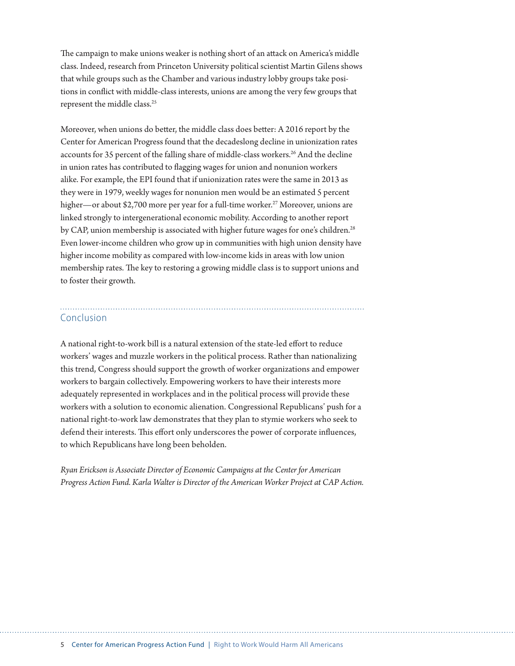The campaign to make unions weaker is nothing short of an attack on America's middle class. Indeed, research from Princeton University political scientist Martin Gilens shows that while groups such as the Chamber and various industry lobby groups take positions in confict with middle-class interests, unions are among the very few groups that represent the middle class.<sup>25</sup>

Moreover, when unions do better, the middle class does better: A 2016 report by the Center for American Progress found that the decadeslong decline in unionization rates accounts for 35 percent of the falling share of middle-class workers.<sup>26</sup> And the decline in union rates has contributed to fagging wages for union and nonunion workers alike. For example, the EPI found that if unionization rates were the same in 2013 as they were in 1979, weekly wages for nonunion men would be an estimated 5 percent higher—or about \$2,700 more per year for a full-time worker.<sup>27</sup> Moreover, unions are linked strongly to intergenerational economic mobility. According to another report by CAP, union membership is associated with higher future wages for one's children.<sup>28</sup> Even lower-income children who grow up in communities with high union density have higher income mobility as compared with low-income kids in areas with low union membership rates. The key to restoring a growing middle class is to support unions and to foster their growth.

### Conclusion

A national right-to-work bill is a natural extension of the state-led efort to reduce workers' wages and muzzle workers in the political process. Rather than nationalizing this trend, Congress should support the growth of worker organizations and empower workers to bargain collectively. Empowering workers to have their interests more adequately represented in workplaces and in the political process will provide these workers with a solution to economic alienation. Congressional Republicans' push for a national right-to-work law demonstrates that they plan to stymie workers who seek to defend their interests. This effort only underscores the power of corporate influences, to which Republicans have long been beholden.

*Ryan Erickson is Associate Director of Economic Campaigns at the Center for American Progress Action Fund. Karla Walter is Director of the American Worker Project at CAP Action.*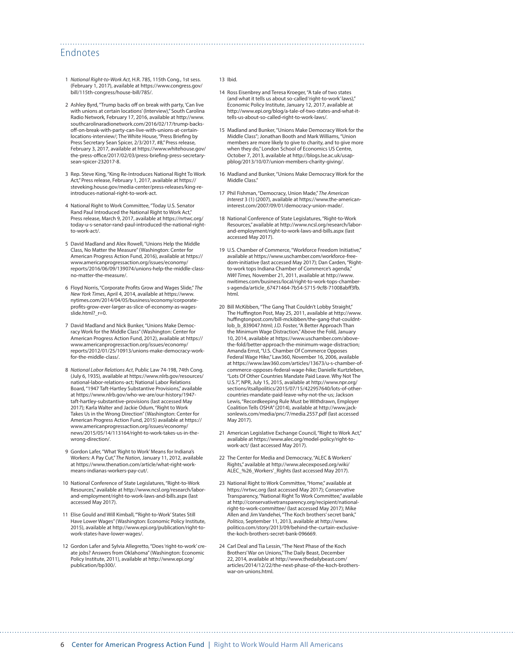#### Endnotes

- 1 *National Right-to-Work Act,* H.R. 785, 115th Cong., 1st sess. (February 1, 2017), available at https://www.congress.gov/ bill/115th-congress/house-bill/785/.
- 2 Ashley Byrd, "Trump backs off on break with party, 'Can live with unions at certain locations' (Interview)," South Carolina Radio Network*,* February 17, 2016, available at http://www. southcarolinaradionetwork.com/2016/02/17/trump-backsoff-on-break-with-party-can-live-with-unions-at-certainlocations-interview/; The White House, "Press Briefng by Press Secretary Sean Spicer, 2/3/2017, #8," Press release, February 3, 2017, available at https://www.whitehouse.gov/ the-press-office/2017/02/03/press-briefing-press-secretarysean-spicer-232017-8.
- 3 Rep. Steve King, "King Re-Introduces National Right To Work Act," Press release, February 1, 2017, available at https:// steveking.house.gov/media-center/press-releases/king-reintroduces-national-right-to-work-act.
- 4 National Right to Work Committee, "Today U.S. Senator Rand Paul Introduced the National Right to Work Act," Press release, March 9, 2017, available at https://nrtwc.org/ today-u-s-senator-rand-paul-introduced-the-national-rightto-work-act/.
- 5 David Madland and Alex Rowell, "Unions Help the Middle Class, No Matter the Measure" (Washington: Center for American Progress Action Fund, 2016), available at https:// www.americanprogressaction.org/issues/economy/ reports/2016/06/09/139074/unions-help-the-middle-classno-matter-the-measure/.
- 6 Floyd Norris, "Corporate Profts Grow and Wages Slide," *The New York Times*, April 4, 2014, available at https://www. nytimes.com/2014/04/05/business/economy/corporateprofts-grow-ever-larger-as-slice-of-economy-as-wagesslide.html?\_r=0.
- 7 David Madland and Nick Bunker, "Unions Make Democracy Work for the Middle Class" (Washington: Center for American Progress Action Fund, 2012), available at https:// www.americanprogressaction.org/issues/economy/ reports/2012/01/25/10913/unions-make-democracy-workfor-the-middle-class/.
- 8 *National Labor Relations Act*, Public Law 74-198, 74th Cong. (July 6, 1935), available at https://www.nlrb.gov/resources/ national-labor-relations-act; National Labor Relations Board, "1947 Taft-Hartley Substantive Provisions," available at https://www.nlrb.gov/who-we-are/our-history/1947 taft-hartley-substantive-provisions (last accessed May 2017); Karla Walter and Jackie Odum, "Right to Work Takes Us in the Wrong Direction" (Washington: Center for American Progress Action Fund, 2015) available at https:// www.americanprogressaction.org/issues/economy/ news/2015/05/14/113164/right-to-work-takes-us-in-thewrong-direction/.
- 9 Gordon Lafer, "What 'Right to Work' Means for Indiana's Workers: A Pay Cut," *The Nation*, January 11, 2012, available at https://www.thenation.com/article/what-right-workmeans-indianas-workers-pay-cut/.
- 10 National Conference of State Legislatures, "Right-to-Work Resources," available at http://www.ncsl.org/research/labor-and-employment/right-to-work-laws-and-bills.aspx (last accessed May 2017).
- 11 Elise Gould and Will Kimball, "'Right-to-Work' States Still Have Lower Wages" (Washington: Economic Policy Institute, 2015), available at http://www.epi.org/publication/right-towork-states-have-lower-wages/.
- 12 Gordon Lafer and Sylvia Allegretto, "Does 'right-to-work' create jobs? Answers from Oklahoma" (Washington: Economic Policy Institute, 2011), available at http://www.epi.org/ publication/bp300/.

#### 13 Ibid.

- 14 Ross Eisenbrey and Teresa Kroeger, "A tale of two states (and what it tells us about so-called 'right-to-work' laws)," Economic Policy Institute, January 12, 2017, available at http://www.epi.org/blog/a-tale-of-two-states-and-what-ittells-us-about-so-called-right-to-work-laws/.
- 15 Madland and Bunker, "Unions Make Democracy Work for the Middle Class"; Jonathan Booth and Mark Williams, "Union members are more likely to give to charity, and to give more when they do," London School of Economics US Centre, October 7, 2013, available at http://blogs.lse.ac.uk/usappblog/2013/10/07/union-members-charity-giving/.
- 16 Madland and Bunker, "Unions Make Democracy Work for the Middle Class."
- 17 Phil Fishman, "Democracy, Union Made," *The American Interest* 3 (1) (2007), available at https://www.the-americaninterest.com/2007/09/01/democracy-union-made/.
- 18 National Conference of State Legislatures, "Right-to-Work Resources," available at http://www.ncsl.org/research/laborand-employment/right-to-work-laws-and-bills.aspx (last accessed May 2017).
- 19 U.S. Chamber of Commerce, "Workforce Freedom Initiative," available at https://www.uschamber.com/workforce-freedom-initiative (last accessed May 2017); Dan Carden, "Rightto-work tops Indiana Chamber of Commerce's agenda," *NWI Times,* November 21, 2011, available at http://www. nwitimes.com/business/local/right-to-work-tops-chambers-agenda/article\_67471464-7b54-5715-9cf8-71008abf3fb. html.
- 20 Bill McKibben, "The Gang That Couldn't Lobby Straight," The Hufngton Post, May 25, 2011, available at http://www. hufngtonpost.com/bill-mckibben/the-gang-that-couldntlob\_b\_839047.html; J.D. Foster, "A Better Approach Than the Minimum Wage Distraction," Above the Fold, January 10, 2014, available at https://www.uschamber.com/abovethe-fold/better-approach-the-minimum-wage-distraction; Amanda Ernst, "U.S. Chamber Of Commerce Opposes Federal Wage Hike," Law360, November 16, 2006, available at https://www.law360.com/articles/13673/u-s-chamber-ofcommerce-opposes-federal-wage-hike; Danielle Kurtzleben, "Lots Of Other Countries Mandate Paid Leave. Why Not The U.S.?", NPR, July 15, 2015, available at http://www.npr.org/ sections/itsallpolitics/2015/07/15/422957640/lots-of-othercountries-mandate-paid-leave-why-not-the-us; Jackson Lewis, "Recordkeeping Rule Must be Withdrawn, Employer Coalition Tells OSHA" (2014), available at http://www.jacksonlewis.com/media/pnc/7/media.2557.pdf (last accessed May 2017).
- 21 American Legislative Exchange Council, "Right to Work Act," available at https://www.alec.org/model-policy/right-towork-act/ (last accessed May 2017).
- 22 The Center for Media and Democracy, "ALEC & Workers' Rights," available at http://www.alecexposed.org/wiki/ ALEC\_%26\_Workers'\_Rights (last accessed May 2017).
- 23 National Right to Work Committee, "Home," available at https://nrtwc.org (last accessed May 2017); Conservative Transparency, "National Right To Work Committee," available at http://conservativetransparency.org/recipient/nationalright-to-work-committee/ (last accessed May 2017); Mike Allen and Jim Vandehei, "The Koch brothers' secret bank," *Politico*, September 11, 2013, available at http://www. politico.com/story/2013/09/behind-the-curtain-exclusivethe-koch-brothers-secret-bank-096669.
- 24 Carl Deal and Tia Lessin, "The Next Phase of the Koch Brothers' War on Unions," The Daily Beast, December 22, 2014, available at http://www.thedailybeast.com/ articles/2014/12/22/the-next-phase-of-the-koch-brotherswar-on-unions.html.